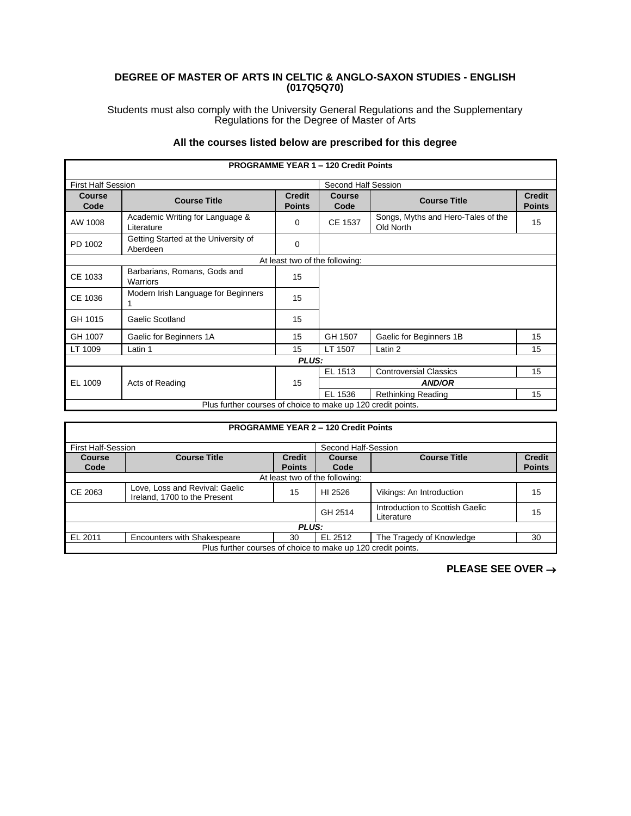## **DEGREE OF MASTER OF ARTS IN CELTIC & ANGLO-SAXON STUDIES - ENGLISH (017Q5Q70)**

Students must also comply with the University General Regulations and the Supplementary Regulations for the Degree of Master of Arts

## **All the courses listed below are prescribed for this degree**

|                           |                                                              |                                | <b>PROGRAMME YEAR 1 - 120 Credit Points</b> |                                                 |                                |
|---------------------------|--------------------------------------------------------------|--------------------------------|---------------------------------------------|-------------------------------------------------|--------------------------------|
| <b>First Half Session</b> |                                                              |                                | Second Half Session                         |                                                 |                                |
| Course<br>Code            | <b>Course Title</b>                                          | <b>Credit</b><br><b>Points</b> | <b>Course</b><br>Code                       | <b>Course Title</b>                             | <b>Credit</b><br><b>Points</b> |
| AW 1008                   | Academic Writing for Language &<br>Literature                | 0                              | CE 1537                                     | Songs, Myths and Hero-Tales of the<br>Old North | 15                             |
| PD 1002                   | Getting Started at the University of<br>Aberdeen             | $\Omega$                       |                                             |                                                 |                                |
|                           |                                                              |                                | At least two of the following:              |                                                 |                                |
| CE 1033                   | Barbarians, Romans, Gods and<br>Warriors                     | 15                             |                                             |                                                 |                                |
| CE 1036                   | Modern Irish Language for Beginners                          | 15                             |                                             |                                                 |                                |
| GH 1015                   | Gaelic Scotland                                              | 15                             |                                             |                                                 |                                |
| GH 1007                   | Gaelic for Beginners 1A                                      | 15                             | GH 1507                                     | Gaelic for Beginners 1B                         | 15                             |
| LT 1009                   | Latin 1                                                      | 15                             | LT 1507                                     | Latin 2                                         | 15                             |
|                           |                                                              | <b>PLUS:</b>                   |                                             |                                                 |                                |
|                           |                                                              |                                | EL 1513                                     | <b>Controversial Classics</b>                   | 15                             |
| EL 1009                   | Acts of Reading                                              | 15                             | <b>AND/OR</b>                               |                                                 |                                |
|                           |                                                              |                                | EL 1536                                     | Rethinking Reading                              | 15                             |
|                           | Plus further courses of choice to make up 120 credit points. |                                |                                             |                                                 |                                |

|                           |                                                                |                                | <b>PROGRAMME YEAR 2 - 120 Credit Points</b> |                                               |                                |
|---------------------------|----------------------------------------------------------------|--------------------------------|---------------------------------------------|-----------------------------------------------|--------------------------------|
| <b>First Half-Session</b> |                                                                | Second Half-Session            |                                             |                                               |                                |
| <b>Course</b><br>Code     | <b>Course Title</b>                                            | <b>Credit</b><br><b>Points</b> | Course<br>Code                              | <b>Course Title</b>                           | <b>Credit</b><br><b>Points</b> |
|                           |                                                                |                                | At least two of the following:              |                                               |                                |
| CE 2063                   | Love, Loss and Revival: Gaelic<br>Ireland, 1700 to the Present | 15                             | HI 2526                                     | Vikings: An Introduction                      | 15                             |
|                           |                                                                |                                | GH 2514                                     | Introduction to Scottish Gaelic<br>Literature | 15                             |
|                           |                                                                | <b>PLUS:</b>                   |                                             |                                               |                                |
| EL 2011                   | <b>Encounters with Shakespeare</b>                             | 30                             | EL 2512                                     | The Tragedy of Knowledge                      | 30                             |
|                           | Plus further courses of choice to make up 120 credit points.   |                                |                                             |                                               |                                |

**PLEASE SEE OVER** →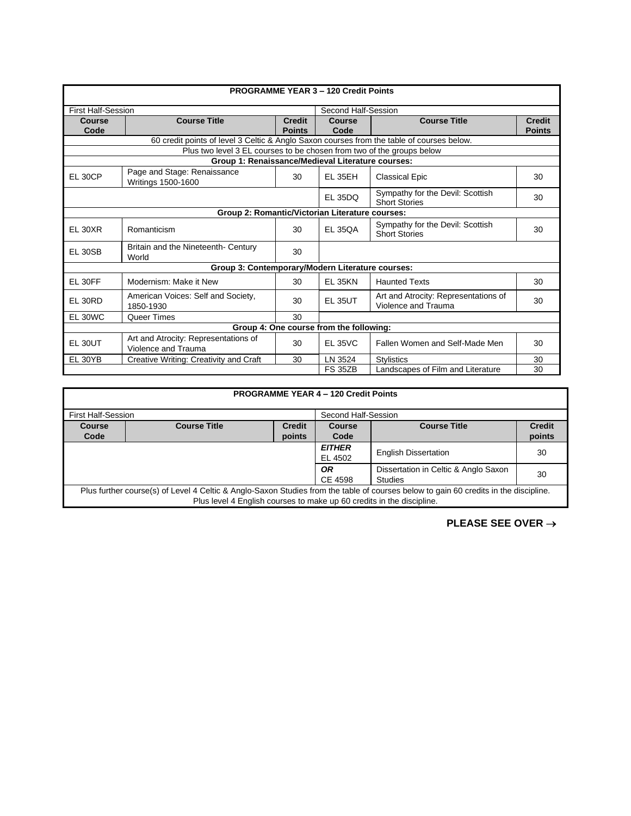|                           |                                                                                           |               | <b>PROGRAMME YEAR 3 - 120 Credit Points</b> |                                                             |               |
|---------------------------|-------------------------------------------------------------------------------------------|---------------|---------------------------------------------|-------------------------------------------------------------|---------------|
|                           |                                                                                           |               |                                             |                                                             |               |
| <b>First Half-Session</b> |                                                                                           |               | Second Half-Session                         |                                                             |               |
| <b>Course</b>             | <b>Course Title</b>                                                                       | <b>Credit</b> | Course                                      | <b>Course Title</b>                                         | <b>Credit</b> |
| Code                      |                                                                                           | <b>Points</b> | Code                                        |                                                             | <b>Points</b> |
|                           | 60 credit points of level 3 Celtic & Anglo Saxon courses from the table of courses below. |               |                                             |                                                             |               |
|                           | Plus two level 3 EL courses to be chosen from two of the groups below                     |               |                                             |                                                             |               |
|                           | Group 1: Renaissance/Medieval Literature courses:                                         |               |                                             |                                                             |               |
| EL 30CP                   | Page and Stage: Renaissance<br>Writings 1500-1600                                         | 30            | EL 35EH                                     | <b>Classical Epic</b>                                       | 30            |
|                           |                                                                                           |               | <b>EL 35DQ</b>                              | Sympathy for the Devil: Scottish<br><b>Short Stories</b>    | 30            |
|                           | Group 2: Romantic/Victorian Literature courses:                                           |               |                                             |                                                             |               |
| <b>EL 30XR</b>            | Romanticism                                                                               | 30            | <b>EL 350A</b>                              | Sympathy for the Devil: Scottish<br><b>Short Stories</b>    | 30            |
| <b>EL 30SB</b>            | Britain and the Nineteenth- Century<br>World                                              | 30            |                                             |                                                             |               |
|                           | Group 3: Contemporary/Modern Literature courses:                                          |               |                                             |                                                             |               |
| EL 30FF                   | Modernism: Make it New                                                                    | 30            | <b>EL 35KN</b>                              | <b>Haunted Texts</b>                                        | 30            |
| EL 30RD                   | American Voices: Self and Society,<br>1850-1930                                           | 30            | <b>EL 35UT</b>                              | Art and Atrocity: Representations of<br>Violence and Trauma | 30            |
| EL 30WC                   | Queer Times                                                                               | 30            |                                             |                                                             |               |
|                           |                                                                                           |               | Group 4: One course from the following:     |                                                             |               |
| EL 30UT                   | Art and Atrocity: Representations of<br>Violence and Trauma                               | 30            | <b>EL 35VC</b>                              | Fallen Women and Self-Made Men                              | 30            |
| EL 30YB                   | Creative Writing: Creativity and Craft                                                    | 30            | LN 3524                                     | <b>Stylistics</b>                                           | 30            |
|                           |                                                                                           |               | <b>FS 35ZB</b>                              | Landscapes of Film and Literature                           | 30            |

| <b>PROGRAMME YEAR 4 - 120 Credit Points</b>                                                                                          |                     |               |                                      |                             |               |
|--------------------------------------------------------------------------------------------------------------------------------------|---------------------|---------------|--------------------------------------|-----------------------------|---------------|
| <b>First Half-Session</b><br>Second Half-Session                                                                                     |                     |               |                                      |                             |               |
| <b>Course</b>                                                                                                                        | <b>Course Title</b> | <b>Credit</b> | <b>Course</b>                        | <b>Course Title</b>         | <b>Credit</b> |
| Code                                                                                                                                 |                     | points        | Code                                 |                             | points        |
|                                                                                                                                      |                     |               | <b>EITHER</b>                        | <b>English Dissertation</b> | 30            |
|                                                                                                                                      |                     |               | EL 4502                              |                             |               |
|                                                                                                                                      |                     | <b>OR</b>     | Dissertation in Celtic & Anglo Saxon | 30                          |               |
|                                                                                                                                      |                     |               | CE 4598                              | <b>Studies</b>              |               |
| Plus further course(s) of Level 4 Celtic & Anglo-Saxon Studies from the table of courses below to gain 60 credits in the discipline. |                     |               |                                      |                             |               |
| Plus level 4 English courses to make up 60 credits in the discipline.                                                                |                     |               |                                      |                             |               |

**PLEASE SEE OVER** →